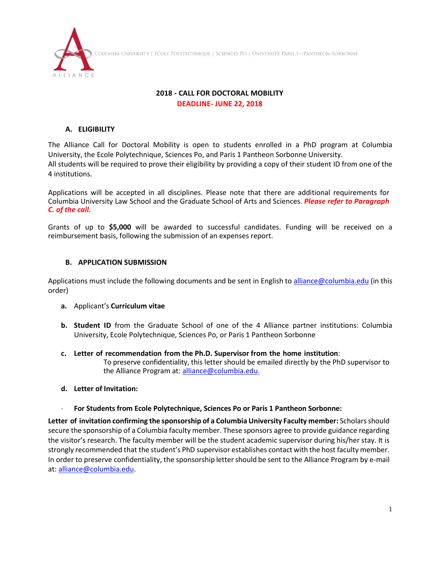



#### **2018 - CALL FOR DOCTORAL MOBILITY DEADLINE- JUNE 22, 2018**

# **A. ELIGIBILITY**

The Alliance Call for Doctoral Mobility is open to students enrolled in a PhD program at Columbia University, the Ecole Polytechnique, Sciences Po, and Paris 1 Pantheon Sorbonne University. All students will be required to prove their eligibility by providing a copy of their student ID from one of the 4 institutions.

Applications will be accepted in all disciplines. Please note that there are additional requirements for Columbia University Law School and the Graduate School of Arts and Sciences. *Please refer to Paragraph C. of the call.*

Grants of up to **\$5,000** will be awarded to successful candidates. Funding will be received on a reimbursement basis, following the submission of an expenses report.

## **B. APPLICATION SUBMISSION**

Applications must include the following documents and be sent in English t[o alliance@columbia.edu](mailto:alliance@columbia.edu) (in this order)

- **a.** Applicant's **Curriculum vitae**
- **b. Student ID** from the Graduate School of one of the 4 Alliance partner institutions: Columbia University, Ecole Polytechnique, Sciences Po, or Paris 1 Pantheon Sorbonne
- **c. Letter of recommendation from the Ph.D. Supervisor from the home institution**: To preserve confidentiality, this letter should be emailed directly by the PhD supervisor to the Alliance Program at: [alliance@columbia.edu.](mailto:alliance@columbia.edu)
- **d. Letter of Invitation:**
	- **For Students from Ecole Polytechnique, Sciences Po or Paris 1 Pantheon Sorbonne:**

**Letter of invitation confirming the sponsorship of a Columbia University Faculty member:** Scholars should secure the sponsorship of a Columbia faculty member. These sponsors agree to provide guidance regarding the visitor's research. The faculty member will be the student academic supervisor during his/her stay. It is strongly recommended that the student's PhD supervisor establishes contact with the host faculty member. In order to preserve confidentiality, the sponsorship letter should be sent to the Alliance Program by e-mail at: [alliance@columbia.edu.](mailto:alliance@columbia.edu)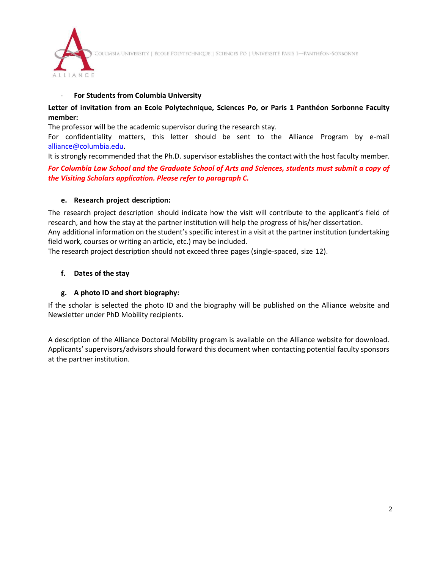COLUMBIA UNIVERSITY | ÉCOLE POLYTECHNIQUE | SCIENCES PO | UNIVERSITÉ PARIS 1—PANTHÉON-SORBONNE



### **For Students from Columbia University**

## **Letter of invitation from an Ecole Polytechnique, Sciences Po, or Paris 1 Panthéon Sorbonne Faculty member:**

The professor will be the academic supervisor during the research stay.

For confidentiality matters, this letter should be sent to the Alliance Program by e-mail [alliance@columbia.edu.](mailto:alliance@columbia.edu)

It is strongly recommended that the Ph.D. supervisor establishes the contact with the host faculty member.

*For Columbia Law School and the Graduate School of Arts and Sciences, students must submit a copy of the Visiting Scholars application. Please refer to paragraph C.*

#### **e. Research project description:**

The research project description should indicate how the visit will contribute to the applicant's field of research, and how the stay at the partner institution will help the progress of his/her dissertation. Any additional information on the student's specific interest in a visit at the partner institution (undertaking field work, courses or writing an article, etc.) may be included.

The research project description should not exceed three pages (single-spaced, size 12).

#### **f. Dates of the stay**

## **g. A photo ID and short biography:**

If the scholar is selected the photo ID and the biography will be published on the Alliance website and Newsletter under PhD Mobility recipients.

A description of the Alliance Doctoral Mobility program is available on the Alliance website for download. Applicants' supervisors/advisors should forward this document when contacting potential faculty sponsors at the partner institution.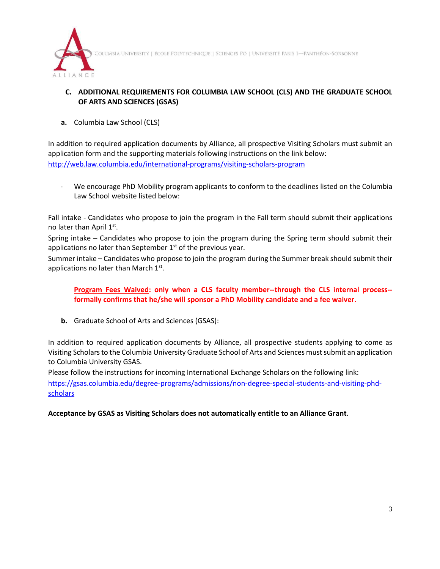

COLUMBIA UNIVERSITY | ÉCOLE POLYTECHNIQUE | SCIENCES PO | UNIVERSITÉ PARIS 1-PANTHÉON-SORBONNE

# **C. ADDITIONAL REQUIREMENTS FOR COLUMBIA LAW SCHOOL (CLS) AND THE GRADUATE SCHOOL OF ARTS AND SCIENCES (GSAS)**

**a.** Columbia Law School (CLS)

In addition to required application documents by Alliance, all prospective Visiting Scholars must submit an application form and the supporting materials following instructions on the link below: <http://web.law.columbia.edu/international-programs/visiting-scholars-program>

 We encourage PhD Mobility program applicants to conform to the deadlines listed on the Columbia Law School website listed below:

Fall intake - Candidates who propose to join the program in the Fall term should submit their applications no later than April 1st.

Spring intake – Candidates who propose to join the program during the Spring term should submit their applications no later than September  $1<sup>st</sup>$  of the previous year.

Summer intake – Candidates who propose to join the program during the Summer break should submit their applications no later than March 1st.

**Program Fees Waived: only when a CLS faculty member--through the CLS internal process- formally confirms that he/she will sponsor a PhD Mobility candidate and a fee waiver**.

**b.** Graduate School of Arts and Sciences (GSAS):

In addition to required application documents by Alliance, all prospective students applying to come as Visiting Scholars to the Columbia University Graduate School of Arts and Sciences must submit an application to Columbia University GSAS.

Please follow the instructions for incoming International Exchange Scholars on the following link: [https://gsas.columbia.edu/degree-programs/admissions/non-degree-special-students-and-visiting-phd](https://gsas.columbia.edu/degree-programs/admissions/non-degree-special-students-and-visiting-phd-scholars)[scholars](https://gsas.columbia.edu/degree-programs/admissions/non-degree-special-students-and-visiting-phd-scholars)

**Acceptance by GSAS as Visiting Scholars does not automatically entitle to an Alliance Grant**.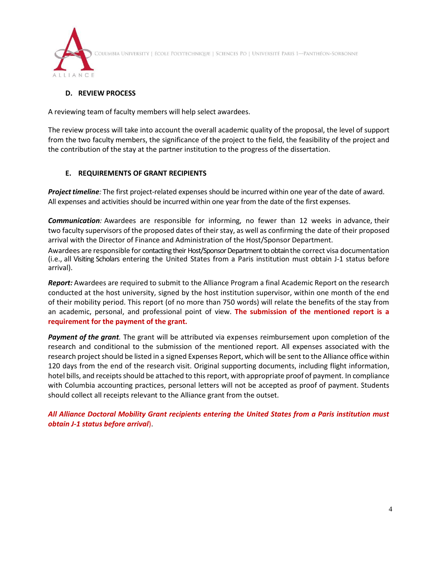

.<br>Columbia University | école Polytechnique | Sciences Po | Université Paris 1—Panthéon-Sorbonne

## **D. REVIEW PROCESS**

A reviewing team of faculty members will help select awardees.

The review process will take into account the overall academic quality of the proposal, the level of support from the two faculty members, the significance of the project to the field, the feasibility of the project and the contribution of the stay at the partner institution to the progress of the dissertation.

#### **E. REQUIREMENTS OF GRANT RECIPIENTS**

*Project timeline*: The first project-related expenses should be incurred within one year of the date of award. All expenses and activities should be incurred within one year from the date of the first expenses.

*Communication:* Awardees are responsible for informing, no fewer than 12 weeks in advance, their two faculty supervisors of the proposed dates of their stay, as well as confirming the date of their proposed arrival with the Director of Finance and Administration of the Host/Sponsor Department.

Awardees are responsible for contacting their Host/Sponsor Department to obtain the correct visa documentation (i.e., all Visiting Scholars entering the United States from a Paris institution must obtain J-1 status before arrival).

*Report:* Awardees are required to submit to the Alliance Program a final Academic Report on the research conducted at the host university, signed by the host institution supervisor, within one month of the end of their mobility period. This report (of no more than 750 words) will relate the benefits of the stay from an academic, personal, and professional point of view. **The submission of the mentioned report is a requirement for the payment of the grant.**

*Payment of the grant.* The grant will be attributed via expenses reimbursement upon completion of the research and conditional to the submission of the mentioned report. All expenses associated with the research project should be listed in a signed Expenses Report, which will be sent to the Alliance office within 120 days from the end of the research visit. Original supporting documents, including flight information, hotel bills, and receipts should be attached to this report, with appropriate proof of payment. In compliance with Columbia accounting practices, personal letters will not be accepted as proof of payment. Students should collect all receipts relevant to the Alliance grant from the outset.

*All Alliance Doctoral Mobility Grant recipients entering the United States from a Paris institution must obtain J-1 status before arrival*).